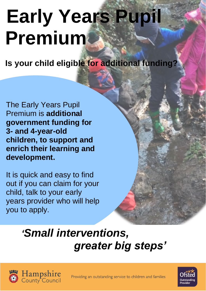# **Early Years Pupil Premium**

**Is your child eligible for additional funding?**

The Early Years Pupil Premium is **additional government funding for 3- and 4-year-old children, to support and enrich their learning and development.** 

It is quick and easy to find out if you can claim for your child, talk to your early years provider who will help you to apply.

# **'** *'Small interventions,*  *greater big steps'*



Providing an outstanding service to children and families